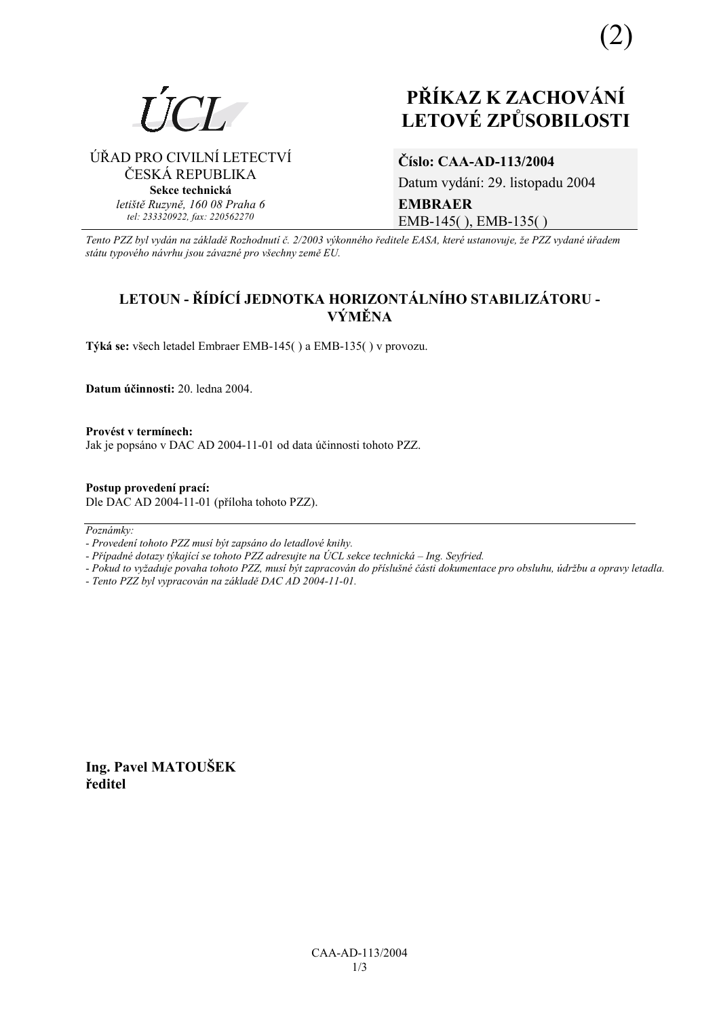

# **PŘÍKAZ K ZACHOVÁNÍ LETOV… ZPŮSOBILOSTI**

ÚŘAD PRO CIVILNÍ LETECTVÍ ČESKÁ REPUBLIKA **Sekce technická** *letiötě Ruzyně, 160 08 Praha 6 tel: 233320922, fax: 220562270*

# **ČÌslo: CAA-AD-113/2004**

Datum vydání: 29. listopadu 2004 **EMBRAER**  EMB-145( ), EMB-135( )

*Tento PZZ byl vyd·n na z·kladě RozhodnutÌ č. 2/2003 v˝konnÈho ředitele EASA, kterÈ ustanovuje, ûe PZZ vydanÈ ˙řadem st·tu typovÈho n·vrhu jsou z·vaznÈ pro vöechny země EU.*

# LETOUN - ŘÍDÍCÍ JEDNOTKA HORIZONTÁLNÍHO STABILIZÁTORU - $V\acute{V}M\check{E}NA$

**T˝k· se:** vöech letadel Embraer EMB-145( ) a EMB-135( ) v provozu.

**Datum ˙činnosti:** 20. ledna 2004.

Provést v termínech: Jak je popsáno v DAC AD 2004-11-01 od data účinnosti tohoto PZZ.

**Postup provedenÌ pracÌ:**  Dle DAC AD 2004-11-01 (příloha tohoto PZZ).

Poznámky:

- *Pokud to vyûaduje povaha tohoto PZZ, musÌ b˝t zapracov·n do přÌsluönÈ č·sti dokumentace pro obsluhu, ˙drûbu a opravy letadla.*
- *Tento PZZ byl vypracov·n na z·kladě DAC AD 2004-11-01.*

**Ing. Pavel MATOUäEK ředitel** 

*<sup>-</sup> ProvedenÌ tohoto PZZ musÌ b˝t zaps·no do letadlovÈ knihy.* 

<sup>-</sup> Případné dotazy týkající se tohoto PZZ adresujte na ÚCL sekce technická – Ing. Seyfried.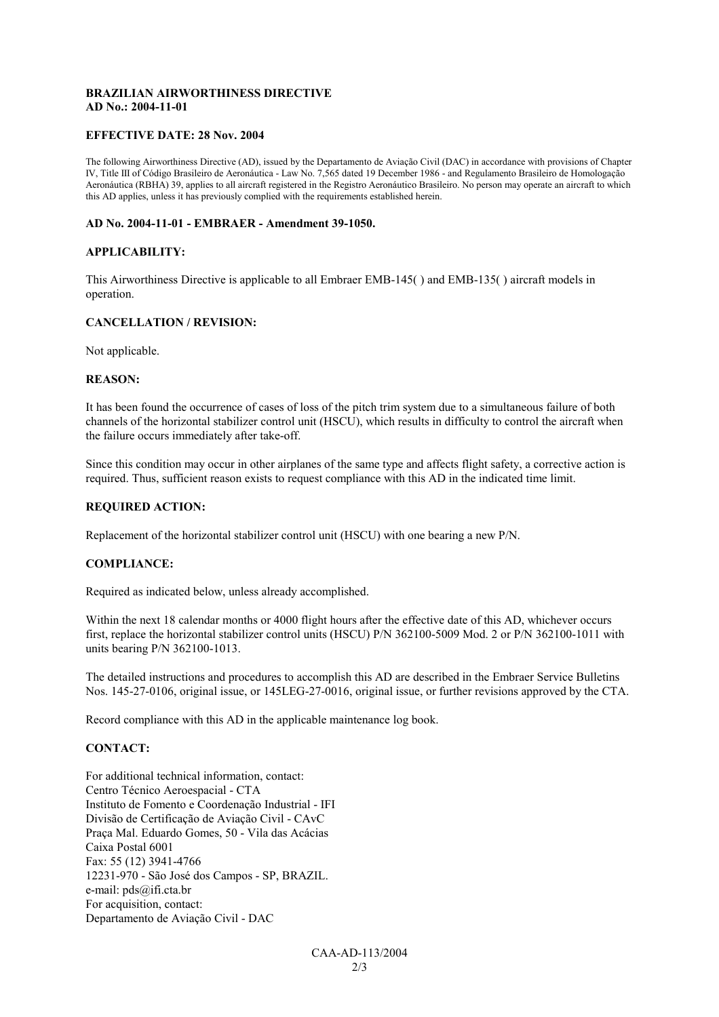### **BRAZILIAN AIRWORTHINESS DIRECTIVE AD No.: 2004-11-01**

#### **EFFECTIVE DATE: 28 Nov. 2004**

The following Airworthiness Directive (AD), issued by the Departamento de Aviação Civil (DAC) in accordance with provisions of Chapter IV, Title III of Código Brasileiro de Aeronáutica - Law No. 7,565 dated 19 December 1986 - and Regulamento Brasileiro de Homologação Aeronáutica (RBHA) 39, applies to all aircraft registered in the Registro Aeronáutico Brasileiro. No person may operate an aircraft to which this AD applies, unless it has previously complied with the requirements established herein.

#### **AD No. 2004-11-01 - EMBRAER - Amendment 39-1050.**

#### **APPLICABILITY:**

This Airworthiness Directive is applicable to all Embraer EMB-145( ) and EMB-135( ) aircraft models in operation.

#### **CANCELLATION / REVISION:**

Not applicable.

#### **REASON:**

It has been found the occurrence of cases of loss of the pitch trim system due to a simultaneous failure of both channels of the horizontal stabilizer control unit (HSCU), which results in difficulty to control the aircraft when the failure occurs immediately after take-off.

Since this condition may occur in other airplanes of the same type and affects flight safety, a corrective action is required. Thus, sufficient reason exists to request compliance with this AD in the indicated time limit.

# **REQUIRED ACTION:**

Replacement of the horizontal stabilizer control unit (HSCU) with one bearing a new P/N.

#### **COMPLIANCE:**

Required as indicated below, unless already accomplished.

Within the next 18 calendar months or 4000 flight hours after the effective date of this AD, whichever occurs first, replace the horizontal stabilizer control units (HSCU) P/N 362100-5009 Mod. 2 or P/N 362100-1011 with units bearing P/N 362100-1013.

The detailed instructions and procedures to accomplish this AD are described in the Embraer Service Bulletins Nos. 145-27-0106, original issue, or 145LEG-27-0016, original issue, or further revisions approved by the CTA.

Record compliance with this AD in the applicable maintenance log book.

### **CONTACT:**

For additional technical information, contact: Centro Técnico Aeroespacial - CTA Instituto de Fomento e Coordenação Industrial - IFI Divisão de Certificação de Aviação Civil - CAvC Praça Mal. Eduardo Gomes, 50 - Vila das Acácias Caixa Postal 6001 Fax: 55 (12) 3941-4766 12231-970 - São José dos Campos - SP, BRAZIL. e-mail: pds@ifi.cta.br For acquisition, contact: Departamento de Aviação Civil - DAC